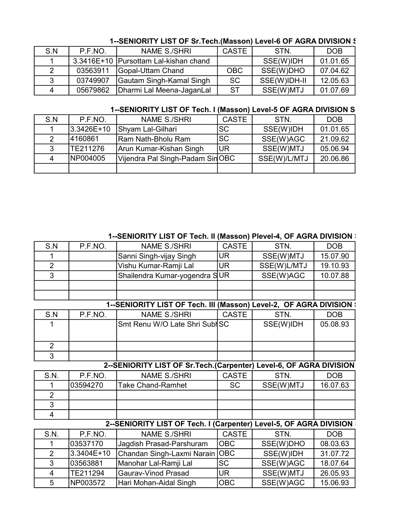#### 1--SENIORITY LIST OF Sr.Tech.(Masson) Level-6 OF AGRA DIVISION \$

| S.N | P.F.NO.  | NAME S./SHRI                            | <b>CASTE</b> | STN.         | <b>DOB</b> |
|-----|----------|-----------------------------------------|--------------|--------------|------------|
|     |          | 3.3416E+10   Pursottam Lal-kishan chand |              | SSE(W)IDH    | 01.01.65   |
|     | 03563911 | Gopal-Uttam Chand                       | OBC          | SSE(W)DHO    | 07.04.62   |
| 3   | 03749907 | Gautam Singh-Kamal Singh                | <b>SC</b>    | SSE(W)IDH-II | 12.05.63   |
| Δ   | 05679862 | Dharmi Lal Meena-JaganLal               | <b>ST</b>    | SSE(W)MTJ    | 01.07.69   |

### 1--SENIORITY LIST OF Tech. I (Masson) Level-5 OF AGRA DIVISION S

| S.N | P.F.NO.    | <b>NAME S./SHRI</b>             | <b>CASTE</b> | STN.         | <b>DOB</b> |
|-----|------------|---------------------------------|--------------|--------------|------------|
|     | 3.3426E+10 | Shyam Lal-Gilhari               | <b>SC</b>    | SSE(W)IDH    | 01.01.65   |
|     | 14160861   | Ram Nath-Bholu Ram              | lsc          | SSE(W)AGC    | 21.09.62   |
|     | TE211276   | Arun Kumar-Kishan Singh         | lur          | SSE(W)MTJ    | 05.06.94   |
| 4   | NP004005   | Vijendra Pal Singh-Padam SinOBC |              | SSE(W)/L/MTJ | 20.06.86   |
|     |            |                                 |              |              |            |

| S.N                     | P.F.NO.    | NAME S./SHRI                                                         | <b>CASTE</b> | STN.        | DOB        |
|-------------------------|------------|----------------------------------------------------------------------|--------------|-------------|------------|
|                         |            | Sanni Singh-vijay Singh                                              | <b>UR</b>    | SSE(W)MTJ   | 15.07.90   |
| $\overline{2}$          |            | Vishu Kumar-Ramji Lal                                                | <b>UR</b>    | SSE(W)L/MTJ | 19.10.93   |
| 3                       |            | Shailendra Kumar-yogendra SUR                                        |              | SSE(W)AGC   | 10.07.88   |
|                         |            |                                                                      |              |             |            |
|                         |            |                                                                      |              |             |            |
|                         |            | 1--SENIORITY LIST OF Tech. III (Masson) Level-2, OF AGRA DIVISION :  |              |             |            |
| S.N                     | P.F.NO.    | <b>NAME S./SHRI</b>                                                  | <b>CASTE</b> | STN.        | <b>DOB</b> |
| 1                       |            | Smt Renu W/O Late Shri SublSC                                        |              | SSE(W)IDH   | 05.08.93   |
|                         |            |                                                                      |              |             |            |
| $\overline{2}$          |            |                                                                      |              |             |            |
| 3                       |            |                                                                      |              |             |            |
|                         |            | 2--SENIORITY LIST OF Sr. Tech. (Carpenter) Level-6, OF AGRA DIVISION |              |             |            |
| S.N.                    | P.F.NO.    | <b>NAME S./SHRI</b>                                                  | <b>CASTE</b> | STN.        | DOB        |
|                         | 03594270   | <b>Take Chand-Ramhet</b>                                             | <b>SC</b>    | SSE(W)MTJ   | 16.07.63   |
| $\overline{2}$          |            |                                                                      |              |             |            |
| 3                       |            |                                                                      |              |             |            |
| $\overline{\mathbf{4}}$ |            |                                                                      |              |             |            |
|                         |            | 2--SENIORITY LIST OF Tech. I (Carpenter) Level-5, OF AGRA DIVISION   |              |             |            |
| S.N.                    | P.F.NO.    | <b>NAME S./SHRI</b>                                                  | <b>CASTE</b> | STN.        | <b>DOB</b> |
| 1                       | 03537170   | Jagdish Prasad-Parshuram                                             | <b>OBC</b>   | SSE(W)DHO   | 08.03.63   |
| $\overline{2}$          | 3.3404E+10 | Chandan Singh-Laxmi Narain                                           | OBC          | SSE(W)IDH   | 31.07.72   |
| 3                       | 03563881   | Manohar Lal-Ramji Lal                                                | <b>SC</b>    | SSE(W)AGC   | 18.07.64   |
| 4                       | TE211294   | Gaurav-Vinod Prasad                                                  | <b>UR</b>    | SSE(W)MTJ   | 26.05.93   |
| 5                       | NP003572   | Hari Mohan-Aidal Singh                                               | <b>OBC</b>   | SSE(W)AGC   | 15.06.93   |

#### 1--SENIORITY LIST OF Tech. II (Masson) Plevel-4, OF AGRA DIVISION S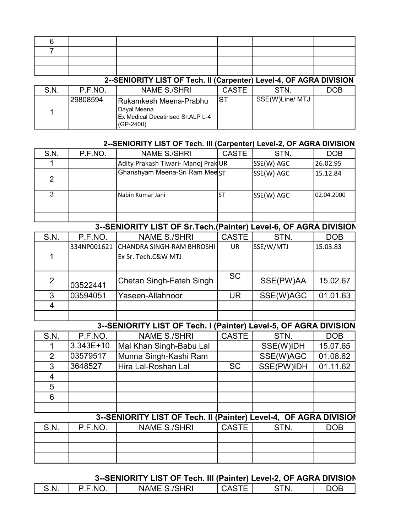| 6    |          |                                                                                           |              |                 |     |
|------|----------|-------------------------------------------------------------------------------------------|--------------|-----------------|-----|
|      |          |                                                                                           |              |                 |     |
|      |          |                                                                                           |              |                 |     |
|      |          |                                                                                           |              |                 |     |
|      |          | 2--SENIORITY LIST OF Tech. II (Carpenter) Level-4, OF AGRA DIVISION                       |              |                 |     |
| S.N. | P.F.NO.  | <b>NAME S./SHRI</b>                                                                       | <b>CASTE</b> | STN.            | DOB |
|      | 29808594 | Rukamkesh Meena-Prabhu<br>Dayal Meena<br>Ex Medical Decatirised Sr.ALP L-4<br>$(GP-2400)$ | IST          | SSE(W)Line/ MTJ |     |

#### 2--SENIORITY LIST OF Tech. III (Carpenter) Level-2, OF AGRA DIVISION

| S.N.          | P.F.NO. | <b>NAME S./SHRI</b>                 | <b>CASTE</b> | STN.       | <b>DOB</b>  |
|---------------|---------|-------------------------------------|--------------|------------|-------------|
|               |         | Adity Prakash Tiwari- Manoj Prak UR |              | SSE(W) AGC | 26.02.95    |
| $\mathcal{P}$ |         | Ghanshyam Meena-Sri Ram MeeST       |              | SSE(W) AGC | 15.12.84    |
| 3             |         | lNabin Kumar Jani                   | .ST          | SSE(W) AGC | 102.04.2000 |
|               |         |                                     |              |            |             |

### 3--SENIORITY LIST OF Sr.Tech.(Painter) Level-6, OF AGRA DIVISION

| S.N. | P.F.NO.     | <b>NAME S./SHRI</b>       | <b>CASTE</b> | STN.      | <b>DOB</b> |
|------|-------------|---------------------------|--------------|-----------|------------|
|      | 334NP001621 | CHANDRA SINGH-RAM BHROSHI | UR           | SSE/W/MTJ | 15.03.83   |
|      |             | Ex Sr. Tech.C&W MTJ       |              |           |            |
|      |             |                           |              |           |            |
| 2    |             | Chetan Singh-Fateh Singh  | <b>SC</b>    | SSE(PW)AA | 15.02.67   |
|      | 03522441    |                           |              |           |            |
| 3    | 03594051    | Yaseen-Allahnoor          | UR.          | SSE(W)AGC | 01.01.63   |
|      |             |                           |              |           |            |
|      |             |                           |              |           |            |

# 3--SENIORITY LIST OF Tech. I (Painter) Level-5, OF AGRA DIVISION

| S.N. | P.F.NO.   | <b>NAME S./SHRI</b>     | <b>CASTE</b> | STN.       | <b>DOB</b> |
|------|-----------|-------------------------|--------------|------------|------------|
|      | 3.343E+10 | Mal Khan Singh-Babu Lal |              | SSE(W)IDH  | 15.07.65   |
|      | 03579517  | Munna Singh-Kashi Ram   |              | SSE(W)AGC  | 01.08.62   |
| 3    | 3648527   | Hira Lal-Roshan Lal     | <b>SC</b>    | SSE(PW)IDH | 01.11.62   |
|      |           |                         |              |            |            |
| 5    |           |                         |              |            |            |
| 6    |           |                         |              |            |            |
|      |           |                         |              |            |            |

### 3--SENIORITY LIST OF Tech. II (Painter) Level-4, OF AGRA DIVISION

| S.N. | P.F.NO. | <b>NAME S./SHRI</b> | <b>CASTE</b> | STN. | DOB |
|------|---------|---------------------|--------------|------|-----|
|      |         |                     |              |      |     |
|      |         |                     |              |      |     |
|      |         |                     |              |      |     |

#### 3--SENIORITY LIST OF Tech. III (Painter) Level-2, OF AGRA DIVISION

| --<br>N<br>N<br>Nŀ<br>w<br>- A L<br>.<br>-<br>$-1$ . $-1$ . $-1$ |  |  |  |
|------------------------------------------------------------------|--|--|--|
|                                                                  |  |  |  |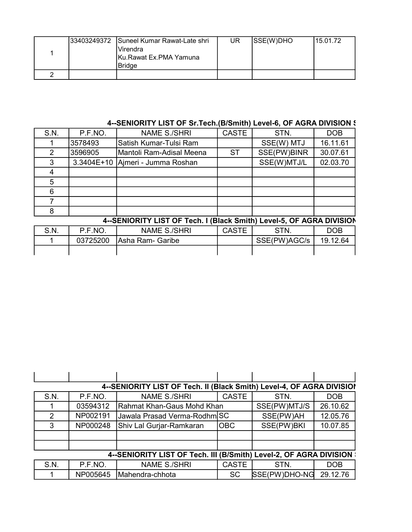| 133403249372 | Suneel Kumar Rawat-Late shri<br>Virendra<br>IKu.Rawat Ex.PMA Yamuna<br><b>Bridge</b> | UR | SSE(W)DHO | 115.01.72 |
|--------------|--------------------------------------------------------------------------------------|----|-----------|-----------|
|              |                                                                                      |    |           |           |

### 4--SENIORITY LIST OF Sr.Tech.(B/Smith) Level-6, OF AGRA DIVISION \$

| S.N. | P.F.NO. | <b>NAME S./SHRI</b>              | <b>CASTE</b> | STN.        | <b>DOB</b> |
|------|---------|----------------------------------|--------------|-------------|------------|
|      | 3578493 | lSatish Kumar-Tulsi Ram          |              | SSE(W) MTJ  | 16.11.61   |
| 2    | 3596905 | Mantoli Ram-Adisal Meena         | <b>ST</b>    | SSE(PW)BINR | 30.07.61   |
| 3    |         | 3.3404E+10 Ajmeri - Jumma Roshan |              | SSE(W)MTJ/L | 02.03.70   |
|      |         |                                  |              |             |            |
| 5    |         |                                  |              |             |            |
| 6    |         |                                  |              |             |            |
|      |         |                                  |              |             |            |
| 8    |         |                                  |              |             |            |

# 4--SENIORITY LIST OF Tech. I (Black Smith) Level-5, OF AGRA DIVISION

| S.N. | P.F.NO.  | <b>NAME S./SHRI</b> | <b>CASTE</b> | STN.         | DOB      |
|------|----------|---------------------|--------------|--------------|----------|
|      | 03725200 | Asha Ram- Garibe    |              | SSE(PW)AGC/s | 19.12.64 |
|      |          |                     |              |              |          |

| 4--SENIORITY LIST OF Tech. II (Black Smith) Level-4, OF AGRA DIVISIO! |          |                              |              |               |            |  |
|-----------------------------------------------------------------------|----------|------------------------------|--------------|---------------|------------|--|
| S.N.                                                                  | P.F.NO.  | <b>NAME S./SHRI</b>          | <b>CASTE</b> | STN.          | <b>DOB</b> |  |
|                                                                       | 03594312 | Rahmat Khan-Gaus Mohd Khan   |              | SSE(PW)MTJ/S  | 26.10.62   |  |
| 2                                                                     | NP002191 | Jawala Prasad Verma-Rodhm SC |              | SSE(PW)AH     | 12.05.76   |  |
| 3                                                                     | NP000248 | Shiv Lal Gurjar-Ramkaran     | OBC          | SSE(PW)BKI    | 10.07.85   |  |
|                                                                       |          |                              |              |               |            |  |
|                                                                       |          |                              |              |               |            |  |
| 4--SENIORITY LIST OF Tech. III (B/Smith) Level-2, OF AGRA DIVISION :  |          |                              |              |               |            |  |
| S.N.                                                                  | P.F.NO.  | <b>NAME S./SHRI</b>          | <b>CASTE</b> | STN.          | <b>DOB</b> |  |
|                                                                       | NP005645 | Mahendra-chhota              | <b>SC</b>    | SSE(PW)DHO-NG | 29.12.76   |  |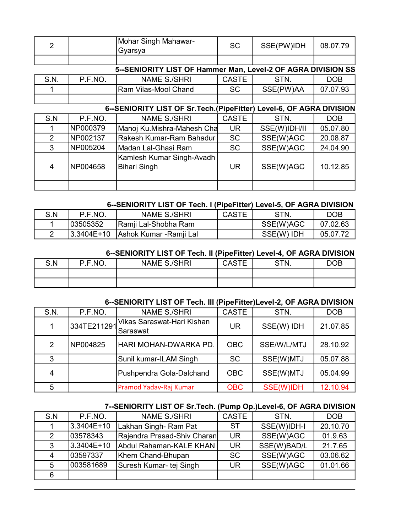| 2                                                                     |          | Mohar Singh Mahawar-<br>Gyarsya                              | <b>SC</b>    | SSE(PW)IDH   | 08.07.79   |  |
|-----------------------------------------------------------------------|----------|--------------------------------------------------------------|--------------|--------------|------------|--|
|                                                                       |          |                                                              |              |              |            |  |
|                                                                       |          | 5--SENIORITY LIST OF Hammer Man, Level-2 OF AGRA DIVISION SS |              |              |            |  |
| S.N.                                                                  | P.F.NO.  | <b>NAME S./SHRI</b>                                          | <b>CASTE</b> | STN.         | <b>DOB</b> |  |
|                                                                       |          | Ram Vilas-Mool Chand                                         | <b>SC</b>    | SSE(PW)AA    | 07.07.93   |  |
|                                                                       |          |                                                              |              |              |            |  |
| 6--SENIORITY LIST OF Sr. Tech. (PipeFitter) Level-6, OF AGRA DIVISION |          |                                                              |              |              |            |  |
| S.N                                                                   | P.F.NO.  | <b>NAME S./SHRI</b>                                          | <b>CASTE</b> | STN.         | <b>DOB</b> |  |
|                                                                       | NP000379 | Manoj Ku.Mishra-Mahesh Cha                                   | <b>UR</b>    | SSE(W)IDH/II | 05.07.80   |  |
| 2                                                                     | NP002137 | Rakesh Kumar-Ram Bahadur                                     | <b>SC</b>    | SSE(W)AGC    | 20.08.87   |  |
| 3                                                                     | NP005204 | Madan Lal-Ghasi Ram                                          | <b>SC</b>    | SSE(W)AGC    | 24.04.90   |  |
| 4                                                                     | NP004658 | Kamlesh Kumar Singh-Avadh<br>Bihari Singh                    | UR.          | SSE(W)AGC    | 10.12.85   |  |
|                                                                       |          |                                                              |              |              |            |  |

### 6--SENIORITY LIST OF Tech. I (PipeFitter) Level-5, OF AGRA DIVISION

| S.N | P.F.NO.        | NAME S./SHRI                   | <b>CASTE</b> | <b>STN</b> | DOB      |
|-----|----------------|--------------------------------|--------------|------------|----------|
|     | 103505352      | Ramji Lal-Shobha Ram           |              | SSE(W)AGC  | 07.02.63 |
|     | $ 3.3404E+10 $ | <u>IAshok Kumar -Ramji Lal</u> |              | SSE(W) IDH | 05.07.72 |

#### 6--SENIORITY LIST OF Tech. II (PipeFitter) Level-4, OF AGRA DIVISION

| S.N | P.F.NO. | <b>NAME S./SHRI</b> | <b>CASTE</b> | STN. | DOB |
|-----|---------|---------------------|--------------|------|-----|
|     |         |                     |              |      |     |
|     |         |                     |              |      |     |

### 6--SENIORITY LIST OF Tech. III (PipeFitter)Level-2, OF AGRA DIVISION

| S.N. | P.F.NO.     | <b>NAME S./SHRI</b>                     | <b>CASTE</b> | STN.        | <b>DOB</b> |
|------|-------------|-----------------------------------------|--------------|-------------|------------|
|      | 334TE211291 | Vikas Saraswat-Hari Kishan<br>iSaraswat | <b>UR</b>    | SSE(W) IDH  | 21.07.85   |
| 2    | NP004825    | HARI MOHAN-DWARKA PD.                   | <b>OBC</b>   | SSE/W/L/MTJ | 28.10.92   |
| 3    |             | Sunil kumar-ILAM Singh                  | <b>SC</b>    | SSE(W)MTJ   | 05.07.88   |
| 4    |             | Pushpendra Gola-Dalchand                | <b>OBC</b>   | SSE(W)MTJ   | 05.04.99   |
| 5    |             | Pramod Yadav-Raj Kumar                  | <b>OBC</b>   | SSE(W)IDH   | 12.10.94   |

### 7--SENIORITY LIST OF Sr.Tech. (Pump Op.)Level-6, OF AGRA DIVISION

| S.N | P.F.NO.    | <b>NAME S./SHRI</b>         | <b>CASTE</b> | STN.        | <b>DOB</b> |
|-----|------------|-----------------------------|--------------|-------------|------------|
|     | 3.3404E+10 | Lakhan Singh- Ram Pat       | -ST          | SSE(W)IDH-I | 20.10.70   |
|     | 03578343   | Rajendra Prasad-Shiv Charan | <b>UR</b>    | SSE(W)AGC   | 01.9.63    |
| 3   | 3.3404E+10 | Abdul Rahaman-KALE KHAN     | <b>UR</b>    | SSE(W)BAD/L | 21.7.65    |
| 4   | 03597337   | Khem Chand-Bhupan           | <b>SC</b>    | SSE(W)AGC   | 03.06.62   |
| 5   | 003581689  | Suresh Kumar- tej Singh     | <b>UR</b>    | SSE(W)AGC   | 01.01.66   |
| 6   |            |                             |              |             |            |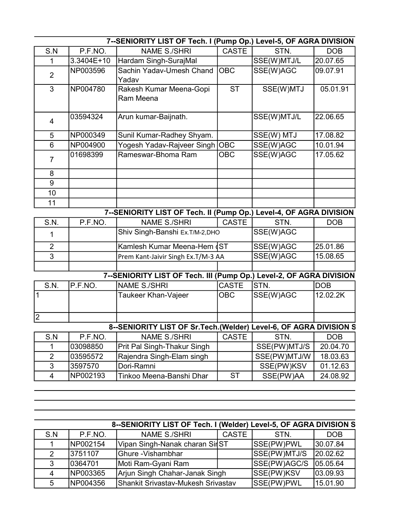| 7--SENIORITY LIST OF Tech. I (Pump Op.) Level-5, OF AGRA DIVISION |            |                                                                     |              |              |            |
|-------------------------------------------------------------------|------------|---------------------------------------------------------------------|--------------|--------------|------------|
| S.N                                                               | P.F.NO.    | <b>NAME S./SHRI</b>                                                 | <b>CASTE</b> | STN.         | <b>DOB</b> |
| 1                                                                 | 3.3404E+10 | Hardam Singh-SurajMal                                               |              | SSE(W)MTJ/L  | 20.07.65   |
| $\overline{2}$                                                    | NP003596   | Sachin Yadav-Umesh Chand                                            | <b>OBC</b>   | SSE(W)AGC    | 09.07.91   |
|                                                                   |            | Yadav                                                               |              |              |            |
| $\mathfrak{S}$                                                    | NP004780   | Rakesh Kumar Meena-Gopi                                             | <b>ST</b>    | SSE(W)MTJ    | 05.01.91   |
|                                                                   |            | Ram Meena                                                           |              |              |            |
|                                                                   | 03594324   | Arun kumar-Baijnath.                                                |              | SSE(W)MTJ/L  | 22.06.65   |
| $\overline{4}$                                                    |            |                                                                     |              |              |            |
| 5                                                                 | NP000349   | Sunil Kumar-Radhey Shyam.                                           |              | SSE(W) MTJ   | 17.08.82   |
| $6\phantom{1}$                                                    | NP004900   | Yogesh Yadav-Rajveer Singh                                          | <b>OBC</b>   | SSE(W)AGC    | 10.01.94   |
|                                                                   | 01698399   | Rameswar-Bhoma Ram                                                  | <b>OBC</b>   | SSE(W)AGC    | 17.05.62   |
| $\overline{7}$                                                    |            |                                                                     |              |              |            |
| 8                                                                 |            |                                                                     |              |              |            |
| $\overline{9}$                                                    |            |                                                                     |              |              |            |
| 10                                                                |            |                                                                     |              |              |            |
| 11                                                                |            |                                                                     |              |              |            |
|                                                                   |            | 7--SENIORITY LIST OF Tech. II (Pump Op.) Level-4, OF AGRA DIVISION  |              |              |            |
| S.N.                                                              | P.F.NO.    | <b>NAME S./SHRI</b>                                                 | <b>CASTE</b> | STN.         | <b>DOB</b> |
| 1                                                                 |            | Shiv Singh-Banshi Ex.T/M-2,DHO                                      |              | SSE(W)AGC    |            |
| $\overline{2}$                                                    |            | Kamlesh Kumar Meena-Hem (ST                                         |              | SSE(W)AGC    | 25.01.86   |
| 3                                                                 |            | Prem Kant-Jaivir Singh Ex.T/M-3 AA                                  |              | SSE(W)AGC    | 15.08.65   |
|                                                                   |            |                                                                     |              |              |            |
|                                                                   |            | 7--SENIORITY LIST OF Tech. III (Pump Op.) Level-2, OF AGRA DIVISION |              |              |            |
| S.N.                                                              | P.F.NO.    | <b>NAME S./SHRI</b>                                                 | <b>CASTE</b> | STN.         | <b>DOB</b> |
| $\mathbf 1$                                                       |            | Taukeer Khan-Vajeer                                                 | <b>OBC</b>   | SSE(W)AGC    | 12.02.2K   |
|                                                                   |            |                                                                     |              |              |            |
| $\overline{2}$                                                    |            |                                                                     |              |              |            |
|                                                                   |            | 8--SENIORITY LIST OF Sr. Tech. (Welder) Level-6, OF AGRA DIVISION S |              |              |            |
| S.N                                                               | P.F.NO.    | <b>NAME S./SHRI</b>                                                 | CASTE        | STN.         | <b>DOB</b> |
| 1                                                                 | 03098850   | Prit Pal Singh-Thakur Singh                                         |              | SSE(PW)MTJ/S | 20.04.70   |
| $\overline{2}$                                                    | 03595572   | Rajendra Singh-Elam singh                                           |              | SSE(PW)MTJ/W | 18.03.63   |
| 3                                                                 | 3597570    | Dori-Ramni                                                          |              | SSE(PW)KSV   | 01.12.63   |
| $\overline{4}$                                                    | NP002193   | Tinkoo Meena-Banshi Dhar                                            | <b>ST</b>    | SSE(PW)AA    | 24.08.92   |
|                                                                   |            |                                                                     |              |              |            |

| 8--SENIORITY LIST OF Tech. I (Welder) Level-5, OF AGRA DIVISION S |          |                                    |       |              |            |  |
|-------------------------------------------------------------------|----------|------------------------------------|-------|--------------|------------|--|
| S.N                                                               | P.F.NO.  | NAME S./SHRI                       | CASTE | STN.         | <b>DOB</b> |  |
|                                                                   | NP002154 | Vipan Singh-Nanak charan SirST     |       | SSE(PW)PWL   | 30.07.84   |  |
|                                                                   | 3751107  | Ghure -Vishambhar                  |       | SSE(PW)MTJ/S | 20.02.62   |  |
| 3                                                                 | 0364701  | Moti Ram-Gyani Ram                 |       | SSE(PW)AGC/S | 05.05.64   |  |
| $\boldsymbol{\Lambda}$                                            | NP003365 | Arjun Singh Chahar-Janak Singh     |       | SSE(PW)KSV   | 03.09.93   |  |
|                                                                   | NP004356 | Shankit Srivastav-Mukesh Srivastav |       | SSE(PW)PWL   | 15.01.90   |  |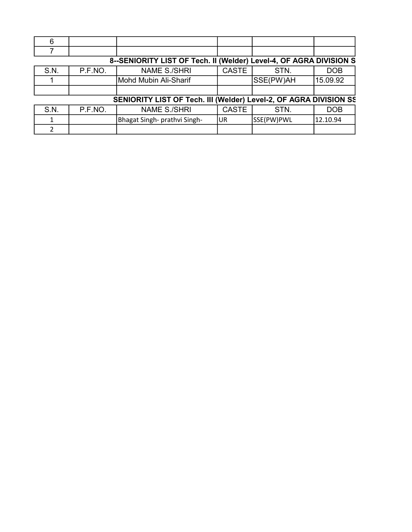| 8--SENIORITY LIST OF Tech. II (Welder) Level-4, OF AGRA DIVISION S |         |                              |              |            |            |  |
|--------------------------------------------------------------------|---------|------------------------------|--------------|------------|------------|--|
| S.N.                                                               | P.F.NO. | <b>NAME S./SHRI</b>          | <b>CASTE</b> | STN.       | <b>DOB</b> |  |
|                                                                    |         | Mohd Mubin Ali-Sharif        |              | SSE(PW)AH  | 15.09.92   |  |
|                                                                    |         |                              |              |            |            |  |
| SENIORITY LIST OF Tech. III (Welder) Level-2, OF AGRA DIVISION SS  |         |                              |              |            |            |  |
| S.N.                                                               | P.F.NO. | <b>NAME S./SHRI</b>          | <b>CASTE</b> | STN.       | <b>DOB</b> |  |
|                                                                    |         | Bhagat Singh- prathvi Singh- | UR           | SSE(PW)PWL | 12.10.94   |  |
|                                                                    |         |                              |              |            |            |  |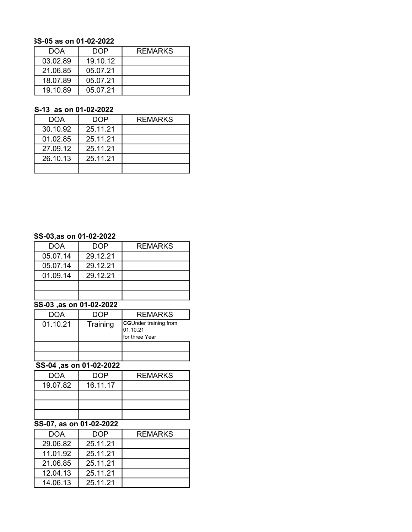#### 5S-05 as on 01-02-2022

| DOA |          | DOP      | <b>REMARKS</b> |
|-----|----------|----------|----------------|
|     | 03.02.89 | 19.10.12 |                |
|     | 21.06.85 | 05.07.21 |                |
|     | 18.07.89 | 05.07.21 |                |
|     | 19.10.89 | 05.07.21 |                |

#### S-13 as on 01-02-2022

| DOA      | DOP      | <b>REMARKS</b> |
|----------|----------|----------------|
| 30.10.92 | 25.11.21 |                |
| 01.02.85 | 25.11.21 |                |
| 27.09.12 | 25.11.21 |                |
| 26.10.13 | 25.11.21 |                |
|          |          |                |

#### SS-03,as on 01-02-2022

| DOA      | <b>DOP</b> | <b>REMARKS</b> |
|----------|------------|----------------|
| 05.07.14 | 29.12.21   |                |
| 05.07.14 | 29.12.21   |                |
| 01.09.14 | 29.12.21   |                |
|          |            |                |
|          |            |                |

### 5S-03 ,as on 01-02-2022

| <b>DOA</b> | n∩P      | <b>REMARKS</b>                                                      |
|------------|----------|---------------------------------------------------------------------|
| 01.10.21   | Training | <b>CGUnder training from</b><br>01.10.21<br><b>I</b> for three Year |
|            |          |                                                                     |
|            |          |                                                                     |

### SS-04 ,as on 01-02-2022

| <b>DOA</b> | DOP      | <b>REMARKS</b> |
|------------|----------|----------------|
| 19.07.82   | 16.11.17 |                |
|            |          |                |
|            |          |                |
|            |          |                |

### $\overline{SS-07}$ , as on 01-02-2022

| DOA      | DOP      | <b>REMARKS</b> |
|----------|----------|----------------|
| 29.06.82 | 25.11.21 |                |
| 11.01.92 | 25.11.21 |                |
| 21.06.85 | 25.11.21 |                |
| 12.04.13 | 25.11.21 |                |
| 14.06.13 | 25.11.21 |                |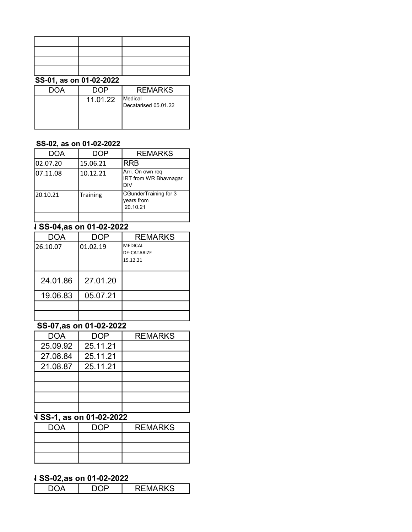| CC 04 AA AA 04 00 0000 |  |  |  |
|------------------------|--|--|--|
|                        |  |  |  |
|                        |  |  |  |
|                        |  |  |  |
|                        |  |  |  |

#### SS-01, as on 01-02-2022

|          | <b>REMARKS</b>       |
|----------|----------------------|
| 11.01.22 | <b>IMedical</b>      |
|          | Decatarised 05.01.22 |
|          |                      |
|          |                      |

### SS-02, as on 01-02-2022

| DOA      | <b>DOP</b> | <b>REMARKS</b>                                          |
|----------|------------|---------------------------------------------------------|
| 02.07.20 | 15.06.21   | <b>RRB</b>                                              |
| 07.11.08 | 10.12.21   | Arri. On own reg<br><b>IRT from WR Bhavnagar</b><br>DIV |
| 20.10.21 | Training   | CGunderTraining for 3<br>years from<br>20.10.21         |
|          |            |                                                         |

### **J** SS-04,as on 01-02-2022

| <b>DOA</b> | <b>DOP</b> | <b>REMARKS</b>                                   |
|------------|------------|--------------------------------------------------|
| 26.10.07   | 01.02.19   | <b>MEDICAL</b><br><b>DE-CATARIZE</b><br>15.12.21 |
| 24.01.86   | 27.01.20   |                                                  |
| 19.06.83   | 05.07.21   |                                                  |
|            |            |                                                  |
|            |            |                                                  |

# $\overline{\text{SS-07}, \text{as on 01-02-2022}}$

| <b>DOA</b> | <b>DOP</b> | <b>REMARKS</b> |
|------------|------------|----------------|
| 25.09.92   | 25.11.21   |                |
| 27.08.84   | 25.11.21   |                |
| 21.08.87   | 25.11.21   |                |
|            |            |                |
|            |            |                |
|            |            |                |
|            |            |                |

# <u>V SS-1, as on 01-02-2022</u>

| <b>DOA</b> | ⊣ר | <b>REMARKS</b> |
|------------|----|----------------|
|            |    |                |
|            |    |                |
|            |    |                |

### **J SS-02,as on 01-02-2022**

|--|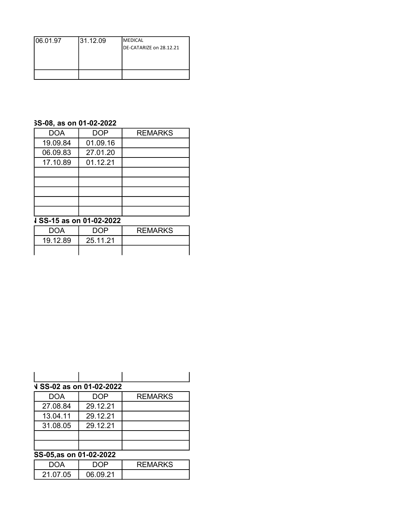| 06.01.97 | 31.12.09 | <b>MEDICAL</b>          |
|----------|----------|-------------------------|
|          |          | DE-CATARIZE on 28.12.21 |
|          |          |                         |
|          |          |                         |
|          |          |                         |
|          |          |                         |

### 5S-08, as on 01-02-2022

| <b>DOA</b> | <b>DOP</b> | <b>REMARKS</b> |
|------------|------------|----------------|
| 19.09.84   | 01.09.16   |                |
| 06.09.83   | 27.01.20   |                |
| 17.10.89   | 01.12.21   |                |
|            |            |                |
|            |            |                |
|            |            |                |
|            |            |                |
|            |            |                |

### $\overline{4\text{ SS-15}}$  as on 01-02-2022

| <b>DOA</b> | םרח      | <b>REMARKS</b> |
|------------|----------|----------------|
| 19.12.89   | 25.11.21 |                |
|            |          |                |

| <b>V SS-02 as on 01-02-2022</b><br><b>DOP</b><br><b>DOA</b><br>27.08.84<br>29.12.21<br>29.12.21<br>13.04.11<br>29.12.21<br>31.08.05 |                        |                |
|-------------------------------------------------------------------------------------------------------------------------------------|------------------------|----------------|
|                                                                                                                                     |                        |                |
|                                                                                                                                     |                        | <b>REMARKS</b> |
|                                                                                                                                     |                        |                |
|                                                                                                                                     |                        |                |
|                                                                                                                                     |                        |                |
|                                                                                                                                     |                        |                |
|                                                                                                                                     | SS-05 as on 01-02-2022 |                |

#### <u>55-05,as on 01-02-2022</u>

| זר       | ⊤ ר∩             | EMARKS |
|----------|------------------|--------|
| 21.07.05 | <u>ባ6 በ9 21 </u> |        |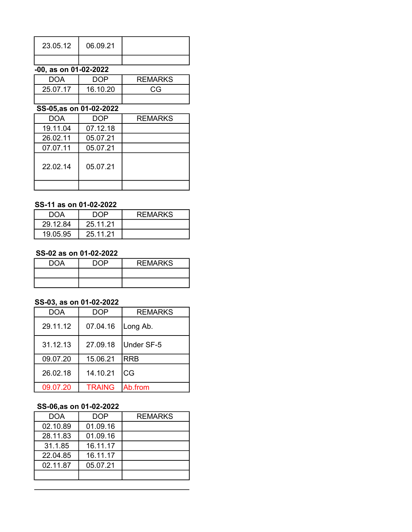| 23.05.12 | 06.09.21 |  |
|----------|----------|--|
|          |          |  |

### $-00$ , as on 01-02-2022

| <b>DOA</b> | ם∩ר      | <b>REMARKS</b> |
|------------|----------|----------------|
| 25.07.17   | 16.10.20 | CG             |
|            |          |                |

### 65-05,as on 01-02-2022

| <b>DOA</b> | <b>DOP</b> | <b>REMARKS</b> |
|------------|------------|----------------|
| 19.11.04   | 07.12.18   |                |
| 26.02.11   | 05.07.21   |                |
| 07.07.11   | 05.07.21   |                |
| 22.02.14   | 05.07.21   |                |
|            |            |                |

### SS-11 as on 01-02-2022

| DOA      | NNP      | <b>REMARKS</b> |
|----------|----------|----------------|
| 29.12.84 | 25.11.21 |                |
| 19.05.95 | 25.11.21 |                |

#### SS-02 as on 01-02-2022

| DOA | ח∩ח | <b>REMARKS</b> |
|-----|-----|----------------|
|     |     |                |
|     |     |                |

### SS-03, as on 01-02-2022

| <b>DOA</b> | <b>DOP</b>    | <b>REMARKS</b> |
|------------|---------------|----------------|
| 29.11.12   | 07.04.16      | Long Ab.       |
| 31.12.13   | 27.09.18      | Under SF-5     |
| 09.07.20   | 15.06.21      | <b>RRB</b>     |
| 26.02.18   | 14.10.21      | CG             |
| 09.07.20   | <b>TRAING</b> | Ab.from        |

### **SS-06,as on 01-02-2022**

| DOA      | <b>DOP</b> | <b>REMARKS</b> |
|----------|------------|----------------|
| 02.10.89 | 01.09.16   |                |
| 28.11.83 | 01.09.16   |                |
| 31.1.85  | 16.11.17   |                |
| 22.04.85 | 16.11.17   |                |
| 02.11.87 | 05.07.21   |                |
|          |            |                |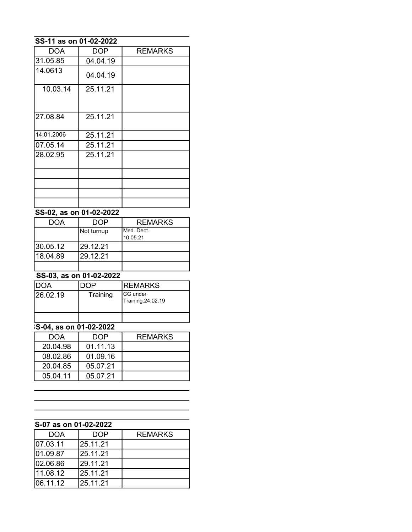# 55-02, as on 01-02-2022

| <b>DOA</b> | DOP        | <b>REMARKS</b> |
|------------|------------|----------------|
|            | Not turnup | IMed. Dect.    |
|            |            | 10.05.21       |
| 30.05.12   | l29.12.21  |                |
| 18.04.89   | 29.12.21   |                |
|            |            |                |

# $\frac{1}{\$S-03, as on 01-02-2022}$

| IDOA      |          | <b>IREMARKS</b>                       |
|-----------|----------|---------------------------------------|
| 126.02.19 | Training | <b>ICG</b> under<br>Training.24.02.19 |
|           |          |                                       |

# $\overline{SS-04}$ , as on 01-02-2022

| DOA      | DOP      | <b>REMARKS</b> |
|----------|----------|----------------|
| 20.04.98 | 01.11.13 |                |
| 08.02.86 | 01.09.16 |                |
| 20.04.85 | 05.07.21 |                |
| 05.04.11 | 05.07.21 |                |

### S-07 as on 01-02-2022

| <b>DOA</b> | <b>DOP</b> | <b>REMARKS</b> |
|------------|------------|----------------|
| 07.03.11   | 25.11.21   |                |
| 01.09.87   | 25.11.21   |                |
| 102.06.86  | 29.11.21   |                |
| 11.08.12   | 25.11.21   |                |
| 06.11.12   | 25.11.21   |                |